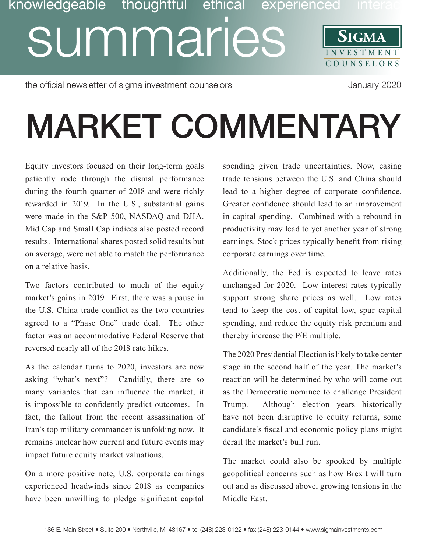### **SIGMA** Dividigeable thoughtful ethical experienced interactions<br> **INVESTMENT** SIGMA **COUNSE L O R S** knowledgeable thoughtful ethical

the official newsletter of sigma investment counselors and the official newsletter of sigma investment counselors

# MARKET COMMENTARY

Equity investors focused on their long-term goals patiently rode through the dismal performance during the fourth quarter of 2018 and were richly rewarded in 2019. In the U.S., substantial gains were made in the S&P 500, NASDAQ and DJIA. Mid Cap and Small Cap indices also posted record results. International shares posted solid results but on average, were not able to match the performance on a relative basis.

Two factors contributed to much of the equity market's gains in 2019. First, there was a pause in the U.S.-China trade conflict as the two countries agreed to a "Phase One" trade deal. The other factor was an accommodative Federal Reserve that reversed nearly all of the 2018 rate hikes.

As the calendar turns to 2020, investors are now asking "what's next"? Candidly, there are so many variables that can influence the market, it is impossible to confidently predict outcomes. In fact, the fallout from the recent assassination of Iran's top military commander is unfolding now. It remains unclear how current and future events may impact future equity market valuations.

On a more positive note, U.S. corporate earnings experienced headwinds since 2018 as companies have been unwilling to pledge significant capital

spending given trade uncertainties. Now, easing trade tensions between the U.S. and China should lead to a higher degree of corporate confidence. Greater confidence should lead to an improvement in capital spending. Combined with a rebound in productivity may lead to yet another year of strong earnings. Stock prices typically benefit from rising corporate earnings over time.

Additionally, the Fed is expected to leave rates unchanged for 2020. Low interest rates typically support strong share prices as well. Low rates tend to keep the cost of capital low, spur capital spending, and reduce the equity risk premium and thereby increase the P/E multiple.

The 2020 Presidential Election is likely to take center stage in the second half of the year. The market's reaction will be determined by who will come out as the Democratic nominee to challenge President Trump. Although election years historically have not been disruptive to equity returns, some candidate's fiscal and economic policy plans might derail the market's bull run.

The market could also be spooked by multiple geopolitical concerns such as how Brexit will turn out and as discussed above, growing tensions in the Middle East.